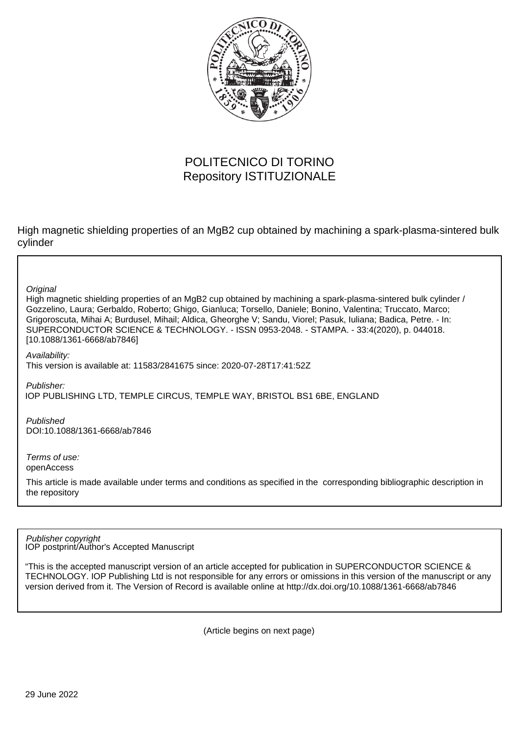

## POLITECNICO DI TORINO Repository ISTITUZIONALE

High magnetic shielding properties of an MgB2 cup obtained by machining a spark-plasma-sintered bulk cylinder

**Original** 

High magnetic shielding properties of an MgB2 cup obtained by machining a spark-plasma-sintered bulk cylinder / Gozzelino, Laura; Gerbaldo, Roberto; Ghigo, Gianluca; Torsello, Daniele; Bonino, Valentina; Truccato, Marco; Grigoroscuta, Mihai A; Burdusel, Mihail; Aldica, Gheorghe V; Sandu, Viorel; Pasuk, Iuliana; Badica, Petre. - In: SUPERCONDUCTOR SCIENCE & TECHNOLOGY. - ISSN 0953-2048. - STAMPA. - 33:4(2020), p. 044018. [10.1088/1361-6668/ab7846]

Availability:

This version is available at: 11583/2841675 since: 2020-07-28T17:41:52Z

Publisher:

IOP PUBLISHING LTD, TEMPLE CIRCUS, TEMPLE WAY, BRISTOL BS1 6BE, ENGLAND

Published DOI:10.1088/1361-6668/ab7846

Terms of use: openAccess

This article is made available under terms and conditions as specified in the corresponding bibliographic description in the repository

IOP postprint/Author's Accepted Manuscript Publisher copyright

"This is the accepted manuscript version of an article accepted for publication in SUPERCONDUCTOR SCIENCE & TECHNOLOGY. IOP Publishing Ltd is not responsible for any errors or omissions in this version of the manuscript or any version derived from it. The Version of Record is available online at http://dx.doi.org/10.1088/1361-6668/ab7846

(Article begins on next page)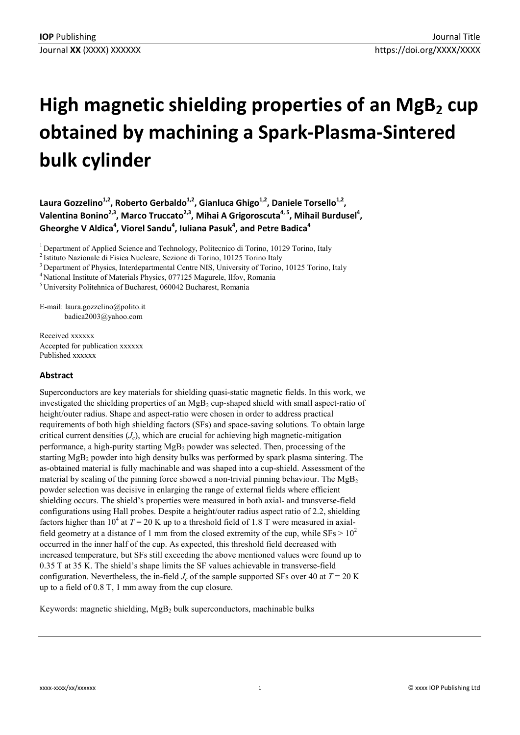# **High magnetic shielding properties of an MgB<sub>2</sub> cup obtained by machining a Spark-Plasma-Sintered bulk cylinder**

Laura Gozzelino<sup>1,2</sup>, Roberto Gerbaldo<sup>1,2</sup>, Gianluca Ghigo<sup>1,2</sup>, Daniele Torsello<sup>1,2</sup>, Valentina Bonino<sup>2,3</sup>, Marco Truccato<sup>2,3</sup>, Mihai A Grigoroscuta<sup>4, 5</sup>, Mihail Burdusel<sup>4</sup>, Gheorghe V Aldica<sup>4</sup>, Viorel Sandu<sup>4</sup>, Iuliana Pasuk<sup>4</sup>, and Petre Badica<sup>4</sup>

<sup>1</sup> Department of Applied Science and Technology, Politecnico di Torino, 10129 Torino, Italy

<sup>3</sup> Department of Physics, Interdepartmental Centre NIS, University of Torino, 10125 Torino, Italy

<sup>4</sup> National Institute of Materials Physics, 077125 Magurele, Ilfov, Romania

5 University Politehnica of Bucharest, 060042 Bucharest, Romania

E-mail: laura.gozzelino@polito.it badica2003@yahoo.com

Received xxxxxx Accepted for publication xxxxxx Published xxxxxx

## **Abstract**

Superconductors are key materials for shielding quasi-static magnetic fields. In this work, we investigated the shielding properties of an  $MgB<sub>2</sub>$  cup-shaped shield with small aspect-ratio of height/outer radius. Shape and aspect-ratio were chosen in order to address practical requirements of both high shielding factors (SFs) and space-saving solutions. To obtain large critical current densities  $(J<sub>c</sub>)$ , which are crucial for achieving high magnetic-mitigation performance, a high-purity starting MgB<sub>2</sub> powder was selected. Then, processing of the starting  $MgB_2$  powder into high density bulks was performed by spark plasma sintering. The as-obtained material is fully machinable and was shaped into a cup-shield. Assessment of the material by scaling of the pinning force showed a non-trivial pinning behaviour. The  $MgB<sub>2</sub>$ powder selection was decisive in enlarging the range of external fields where efficient shielding occurs. The shield's properties were measured in both axial- and transverse-field configurations using Hall probes. Despite a height/outer radius aspect ratio of 2.2, shielding factors higher than  $10^4$  at  $T = 20$  K up to a threshold field of 1.8 T were measured in axialfield geometry at a distance of 1 mm from the closed extremity of the cup, while  $SFs > 10^2$ occurred in the inner half of the cup. As expected, this threshold field decreased with increased temperature, but SFs still exceeding the above mentioned values were found up to 0.35 T at 35 K. The shield's shape limits the SF values achievable in transverse-field configuration. Nevertheless, the in-field  $J_c$  of the sample supported SFs over 40 at  $T = 20$  K up to a field of 0.8 T, 1 mm away from the cup closure.

Keywords: magnetic shielding, MgB<sub>2</sub> bulk superconductors, machinable bulks

<sup>2</sup> Istituto Nazionale di Fisica Nucleare, Sezione di Torino, 10125 Torino Italy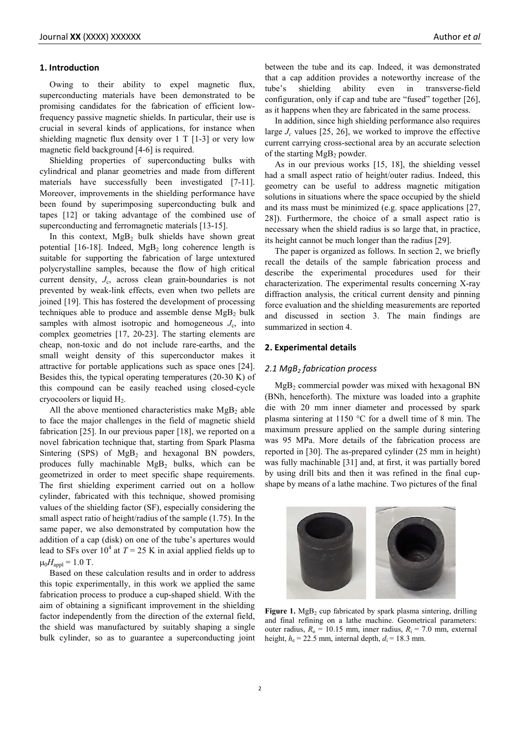Owing to their ability to expel magnetic flux, superconducting materials have been demonstrated to be promising candidates for the fabrication of efficient lowfrequency passive magnetic shields. In particular, their use is crucial in several kinds of applications, for instance when shielding magnetic flux density over 1 T [1-3] or very low magnetic field background [4-6] is required.

Shielding properties of superconducting bulks with cylindrical and planar geometries and made from different materials have successfully been investigated [7-11]. Moreover, improvements in the shielding performance have been found by superimposing superconducting bulk and tapes [12] or taking advantage of the combined use of superconducting and ferromagnetic materials [13-15].

In this context,  $MgB_2$  bulk shields have shown great potential  $[16-18]$ . Indeed, MgB<sub>2</sub> long coherence length is suitable for supporting the fabrication of large untextured polycrystalline samples, because the flow of high critical current density,  $J_c$ , across clean grain-boundaries is not prevented by weak-link effects, even when two pellets are joined [19]. This has fostered the development of processing techniques able to produce and assemble dense  $MgB<sub>2</sub>$  bulk samples with almost isotropic and homogeneous  $J_c$ , into complex geometries [17, 20-23]. The starting elements are cheap, non-toxic and do not include rare-earths, and the small weight density of this superconductor makes it attractive for portable applications such as space ones [24]. Besides this, the typical operating temperatures (20-30 K) of this compound can be easily reached using closed-cycle cryocoolers or liquid  $H<sub>2</sub>$ .

All the above mentioned characteristics make  $MgB<sub>2</sub>$  able to face the major challenges in the field of magnetic shield fabrication [25]. In our previous paper [18], we reported on a novel fabrication technique that, starting from Spark Plasma Sintering  $(SPS)$  of  $MgB_2$  and hexagonal BN powders, produces fully machinable  $MgB_2$  bulks, which can be geometrized in order to meet specific shape requirements. The first shielding experiment carried out on a hollow cylinder, fabricated with this technique, showed promising values of the shielding factor (SF), especially considering the small aspect ratio of height/radius of the sample (1.75). In the same paper, we also demonstrated by computation how the addition of a cap (disk) on one of the tube's apertures would lead to SFs over  $10^4$  at  $T = 25$  K in axial applied fields up to  $\mu_0 H_{\text{anol}} = 1.0$  T.

Based on these calculation results and in order to address this topic experimentally, in this work we applied the same fabrication process to produce a cup-shaped shield. With the aim of obtaining a significant improvement in the shielding factor independently from the direction of the external field, the shield was manufactured by suitably shaping a single bulk cylinder, so as to guarantee a superconducting joint between the tube and its cap. Indeed, it was demonstrated that a cap addition provides a noteworthy increase of the tube's shielding ability even in transverse-field configuration, only if cap and tube are "fused" together [26], as it happens when they are fabricated in the same process.

In addition, since high shielding performance also requires large  $J_c$  values [25, 26], we worked to improve the effective current carrying cross-sectional area by an accurate selection of the starting  $MgB_2$  powder.

As in our previous works [15, 18], the shielding vessel had a small aspect ratio of height/outer radius. Indeed, this geometry can be useful to address magnetic mitigation solutions in situations where the space occupied by the shield and its mass must be minimized (e.g. space applications [27, 28]). Furthermore, the choice of a small aspect ratio is necessary when the shield radius is so large that, in practice, its height cannot be much longer than the radius [29].

The paper is organized as follows. In section 2, we briefly recall the details of the sample fabrication process and describe the experimental procedures used for their characterization. The experimental results concerning X-ray diffraction analysis, the critical current density and pinning force evaluation and the shielding measurements are reported and discussed in section 3. The main findings are summarized in section 4.

## **2. Experimental details**

#### 2.1 MgB<sub>2</sub> fabrication process

 $MgB<sub>2</sub>$  commercial powder was mixed with hexagonal BN (BNh, henceforth). The mixture was loaded into a graphite die with 20 mm inner diameter and processed by spark plasma sintering at 1150 °C for a dwell time of 8 min. The maximum pressure applied on the sample during sintering was 95 MPa. More details of the fabrication process are reported in [30]. The as-prepared cylinder (25 mm in height) was fully machinable [31] and, at first, it was partially bored by using drill bits and then it was refined in the final cupshape by means of a lathe machine. Two pictures of the final



Figure 1. MgB<sub>2</sub> cup fabricated by spark plasma sintering, drilling and final refining on a lathe machine. Geometrical parameters: outer radius,  $R_0 = 10.15$  mm, inner radius,  $R_i = 7.0$  mm, external height,  $h_e = 22.5$  mm, internal depth,  $d_i = 18.3$  mm.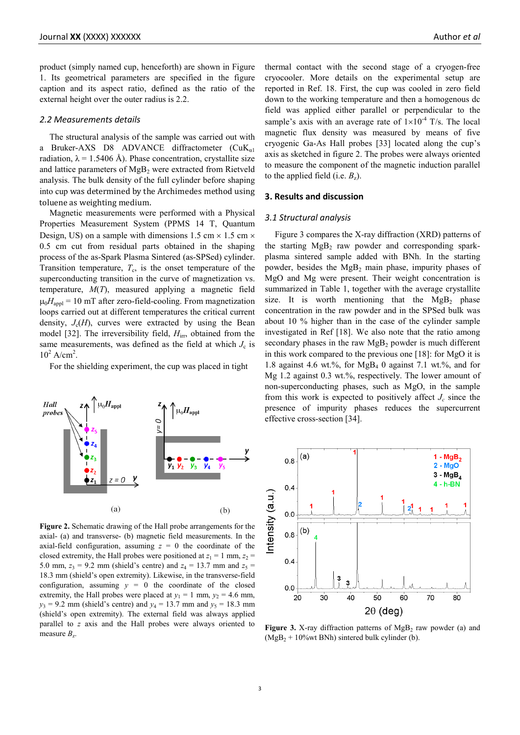product (simply named cup, henceforth) are shown in Figure 1. Its geometrical parameters are specified in the figure caption and its aspect ratio, defined as the ratio of the external height over the outer radius is 2.2.

## *2.2 Measurements details*

The structural analysis of the sample was carried out with a Bruker-AXS D8 ADVANCE diffractometer  $(CuK_{a1})$ radiation,  $\lambda = 1.5406$  Å). Phase concentration, crystallite size and lattice parameters of MgB<sub>2</sub> were extracted from Rietveld analysis. The bulk density of the full cylinder before shaping into cup was determined by the Archimedes method using toluene as weighting medium.

Magnetic measurements were performed with a Physical Properties Measurement System (PPMS 14 T, Quantum Design, US) on a sample with dimensions 1.5 cm  $\times$  1.5 cm  $\times$ 0.5 cm cut from residual parts obtained in the shaping process of the as-Spark Plasma Sintered (as-SPSed) cylinder. Transition temperature,  $T_c$ , is the onset temperature of the superconducting transition in the curve of magnetization vs. temperature, *M*(*T*), measured applying a magnetic field  $\mu_0 H_{\text{avpl}} = 10 \text{ mT}$  after zero-field-cooling. From magnetization loops carried out at different temperatures the critical current density,  $J_c(H)$ , curves were extracted by using the Bean model [32]. The irreversibility field,  $H_{irr}$ , obtained from the same measurements, was defined as the field at which  $J_c$  is  $10^2$  A/cm<sup>2</sup>.

For the shielding experiment, the cup was placed in tight



**Figure 2.** Schematic drawing of the Hall probe arrangements for the axial- (a) and transverse- (b) magnetic field measurements. In the axial-field configuration, assuming  $z = 0$  the coordinate of the closed extremity, the Hall probes were positioned at  $z_1 = 1$  mm,  $z_2 =$ 5.0 mm,  $z_3 = 9.2$  mm (shield's centre) and  $z_4 = 13.7$  mm and  $z_5 =$ 18.3 mm (shield's open extremity). Likewise, in the transverse-field configuration, assuming  $y = 0$  the coordinate of the closed extremity, the Hall probes were placed at  $y_1 = 1$  mm,  $y_2 = 4.6$  mm,  $y_3 = 9.2$  mm (shield's centre) and  $y_4 = 13.7$  mm and  $y_5 = 18.3$  mm (shield's open extremity). The external field was always applied parallel to *z* axis and the Hall probes were always oriented to measure  $B_z$ .

thermal contact with the second stage of a cryogen-free cryocooler. More details on the experimental setup are reported in Ref. 18. First, the cup was cooled in zero field down to the working temperature and then a homogenous dc field was applied either parallel or perpendicular to the sample's axis with an average rate of  $1\times10^{-4}$  T/s. The local magnetic flux density was measured by means of five cryogenic Ga-As Hall probes [33] located along the cup's axis as sketched in figure 2. The probes were always oriented to measure the component of the magnetic induction parallel to the applied field (i.e.  $B_z$ ).

## **3. Results and discussion**

## *3.1 Structural analysis*

Figure 3 compares the X-ray diffraction (XRD) patterns of the starting  $MgB_2$  raw powder and corresponding sparkplasma sintered sample added with BNh. In the starting powder, besides the MgB2 main phase, impurity phases of MgO and Mg were present. Their weight concentration is summarized in Table 1, together with the average crystallite size. It is worth mentioning that the  $MgB_2$  phase concentration in the raw powder and in the SPSed bulk was about 10 % higher than in the case of the cylinder sample investigated in Ref [18]. We also note that the ratio among secondary phases in the raw  $MgB<sub>2</sub>$  powder is much different in this work compared to the previous one [18]: for MgO it is 1.8 against 4.6 wt.%, for  $MgB_4$  0 against 7.1 wt.%, and for Mg 1.2 against 0.3 wt.%, respectively. The lower amount of non-superconducting phases, such as MgO, in the sample from this work is expected to positively affect  $J_c$  since the presence of impurity phases reduces the supercurrent effective cross-section [34].



**Figure 3.** X-ray diffraction patterns of  $MgB_2$  raw powder (a) and  $(MgB<sub>2</sub> + 10<sup>o</sup>/wt BNh)$  sintered bulk cylinder (b).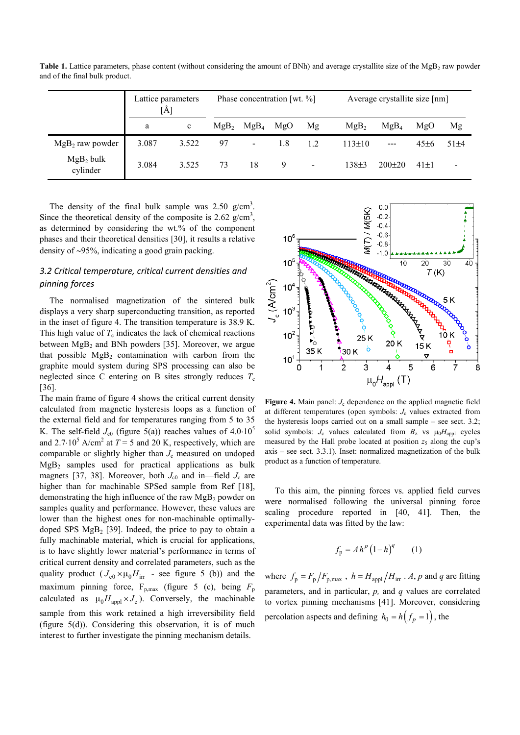|                          | Lattice parameters<br>[Å] |              | Phase concentration [wt. $\%$ ] |                  |     |                          | Average crystallite size [nm] |                  |            |                          |
|--------------------------|---------------------------|--------------|---------------------------------|------------------|-----|--------------------------|-------------------------------|------------------|------------|--------------------------|
|                          | a                         | $\mathbf{c}$ | MgB <sub>2</sub>                | MgB <sub>4</sub> | MgO | Mg                       | MgB <sub>2</sub>              | MgB <sub>A</sub> | MgO        | Mg                       |
| $MgB2$ raw powder        | 3.087                     | 3.522        | 97                              | $\blacksquare$   | 1.8 | 1.2                      | $113 \pm 10$                  | $---$            | $45\pm6$   | $51 + 4$                 |
| $MgB_2$ bulk<br>cylinder | 3.084                     | 3.525        | 73                              | 18               | 9   | $\overline{\phantom{a}}$ | $138+3$                       | $200\pm 20$      | $41 \pm 1$ | $\overline{\phantom{0}}$ |

**Table 1.** Lattice parameters, phase content (without considering the amount of BNh) and average crystallite size of the MgB<sub>2</sub> raw powder and of the final bulk product.

The density of the final bulk sample was  $2.50 \text{ g/cm}^3$ . Since the theoretical density of the composite is  $2.62$  g/cm<sup>3</sup>, as determined by considering the wt.% of the component phases and their theoretical densities [30], it results a relative density of ∼95%, indicating a good grain packing.

## *3.2 Critical temperature, critical current densities and pinning forces*

The normalised magnetization of the sintered bulk displays a very sharp superconducting transition, as reported in the inset of figure 4. The transition temperature is 38.9 K. This high value of  $T_c$  indicates the lack of chemical reactions between  $MgB<sub>2</sub>$  and BNh powders [35]. Moreover, we argue that possible  $MgB<sub>2</sub>$  contamination with carbon from the graphite mould system during SPS processing can also be neglected since C entering on B sites strongly reduces  $T_c$ [36].

The main frame of figure 4 shows the critical current density calculated from magnetic hysteresis loops as a function of the external field and for temperatures ranging from 5 to 35 K. The self-field  $J_{c0}$  (figure 5(a)) reaches values of  $4.0·10<sup>5</sup>$ and 2.7⋅10<sup>5</sup> A/cm<sup>2</sup> at  $T = 5$  and 20 K, respectively, which are comparable or slightly higher than  $J_c$  measured on undoped  $MgB<sub>2</sub>$  samples used for practical applications as bulk magnets [37, 38]. Moreover, both  $J_{c0}$  and in—field  $J_c$  are higher than for machinable SPSed sample from Ref [18], demonstrating the high influence of the raw  $MgB<sub>2</sub>$  powder on samples quality and performance. However, these values are lower than the highest ones for non-machinable optimallydoped SPS  $MgB<sub>2</sub>$  [39]. Indeed, the price to pay to obtain a fully machinable material, which is crucial for applications, is to have slightly lower material's performance in terms of critical current density and correlated parameters, such as the quality product  $(J_{c0} \times \mu_0 H_{irr}$  - see figure 5 (b)) and the maximum pinning force,  $F_{p,max}$  (figure 5 (c), being  $F_p$ calculated as  $\mu_0 H_{\text{appl}} \times J_c$ ). Conversely, the machinable sample from this work retained a high irreversibility field (figure 5(d)). Considering this observation, it is of much interest to further investigate the pinning mechanism details.



**Figure 4.** Main panel: *J<sub>c</sub>* dependence on the applied magnetic field at different temperatures (open symbols:  $J_c$  values extracted from the hysteresis loops carried out on a small sample – see sect. 3.2; solid symbols:  $J_c$  values calculated from  $B_z$  vs  $\mu_0 H_{\text{appl}}$  cycles measured by the Hall probe located at position  $z_5$  along the cup's axis – see sect. 3.3.1). Inset: normalized magnetization of the bulk product as a function of temperature.

To this aim, the pinning forces vs. applied field curves were normalised following the universal pinning force scaling procedure reported in [40, 41]. Then, the experimental data was fitted by the law:

$$
f_{\mathbf{p}} = A h^p \left( 1 - h \right)^q \qquad (1)
$$

where  $f_p = F_p / F_{p,\text{max}}$ ,  $h = H_{\text{appl}} / H_{\text{irr}}$ . *A*, *p* and *q* are fitting parameters, and in particular, *p,* and *q* values are correlated to vortex pinning mechanisms [41]. Moreover, considering percolation aspects and defining  $h_0 = h(f_n = 1)$ , the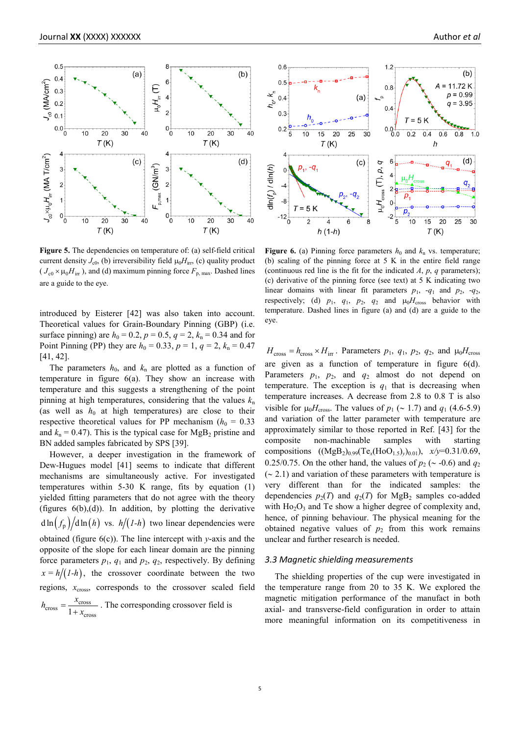

**Figure 5.** The dependencies on temperature of: (a) self-field critical current density  $J_{c0}$ , (b) irreversibility field  $\mu_0 H_{irr}$ , (c) quality product  $(J_{c0} \times \mu_0 H_{irr})$ , and (d) maximum pinning force  $F_{p, max}$ . Dashed lines are a guide to the eye.

introduced by Eisterer [42] was also taken into account. Theoretical values for Grain-Boundary Pinning (GBP) (i.e. surface pinning) are  $h_0 = 0.2$ ,  $p = 0.5$ ,  $q = 2$ ,  $k_n = 0.34$  and for Point Pinning (PP) they are  $h_0 = 0.33$ ,  $p = 1$ ,  $q = 2$ ,  $k_n = 0.47$ [41, 42].

The parameters  $h_0$ , and  $k_n$  are plotted as a function of temperature in figure 6(a). They show an increase with temperature and this suggests a strengthening of the point pinning at high temperatures, considering that the values  $k_n$ (as well as  $h_0$  at high temperatures) are close to their respective theoretical values for PP mechanism ( $h_0 = 0.33$ ) and  $k_n = 0.47$ ). This is the typical case for MgB<sub>2</sub> pristine and BN added samples fabricated by SPS [39].

However, a deeper investigation in the framework of Dew-Hugues model [41] seems to indicate that different mechanisms are simultaneously active. For investigated temperatures within 5-30 K range, fits by equation (1) yielded fitting parameters that do not agree with the theory (figures  $6(b)$ , $(d)$ ). In addition, by plotting the derivative  $d \ln (f_p)/d \ln (h)$  vs.  $h/(1-h)$  two linear dependencies were obtained (figure 6(c)). The line intercept with *y*-axis and the opposite of the slope for each linear domain are the pinning force parameters  $p_1$ ,  $q_1$  and  $p_2$ ,  $q_2$ , respectively. By defining  $x = h/(1-h)$ , the crossover coordinate between the two regions,  $x_{\text{cross}}$ , corresponds to the crossover scaled field

 $c<sub>cross</sub> = \frac{x<sub>cross</sub>}{1 + x<sub>cross</sub>}$  $h_{\text{cross}} = \frac{x_{\text{cross}}}{1 + x_{\text{cross}}}$ . The corresponding crossover field is



**Figure 6.** (a) Pinning force parameters  $h_0$  and  $k_n$  vs. temperature; (b) scaling of the pinning force at 5 K in the entire field range (continuous red line is the fit for the indicated *A*, *p*, *q* parameters); (c) derivative of the pinning force (see text) at 5 K indicating two linear domains with linear fit parameters  $p_1$ ,  $-q_1$  and  $p_2$ ,  $-q_2$ , respectively; (d)  $p_1$ ,  $q_1$ ,  $p_2$ ,  $q_2$  and  $\mu_0 H_{cross}$  behavior with temperature. Dashed lines in figure (a) and (d) are a guide to the eye.

 $H_{\text{cross}} = h_{\text{cross}} \times H_{\text{irr}}$ . Parameters  $p_1$ ,  $q_1$ ,  $p_2$ ,  $q_2$ , and  $\mu_0 H_{\text{cross}}$ are given as a function of temperature in figure 6(d). Parameters  $p_1$ ,  $p_2$ , and  $q_2$  almost do not depend on temperature. The exception is  $q_1$  that is decreasing when temperature increases. A decrease from 2.8 to 0.8 T is also visible for  $\mu_0 H_{\text{cross}}$ . The values of  $p_1$  (~ 1.7) and  $q_1$  (4.6-5.9) and variation of the latter parameter with temperature are approximately similar to those reported in Ref. [43] for the composite non-machinable samples with starting compositions  $((MgB<sub>2</sub>)<sub>0.99</sub>(Te<sub>x</sub>(HoO<sub>1.5</sub>)<sub>y</sub>)<sub>0.01</sub>), x/y=0.31/0.69,$ 0.25/0.75. On the other hand, the values of  $p_2$  (∼ -0.6) and  $q_2$ (∼ 2.1) and variation of these parameters with temperature is very different than for the indicated samples: the dependencies  $p_2(T)$  and  $q_2(T)$  for MgB<sub>2</sub> samples co-added with  $Ho<sub>2</sub>O<sub>3</sub>$  and Te show a higher degree of complexity and, hence, of pinning behaviour. The physical meaning for the obtained negative values of  $p_2$  from this work remains unclear and further research is needed.

## *3.3 Magnetic shielding measurements*

The shielding properties of the cup were investigated in the temperature range from 20 to 35 K. We explored the magnetic mitigation performance of the manufact in both axial- and transverse-field configuration in order to attain more meaningful information on its competitiveness in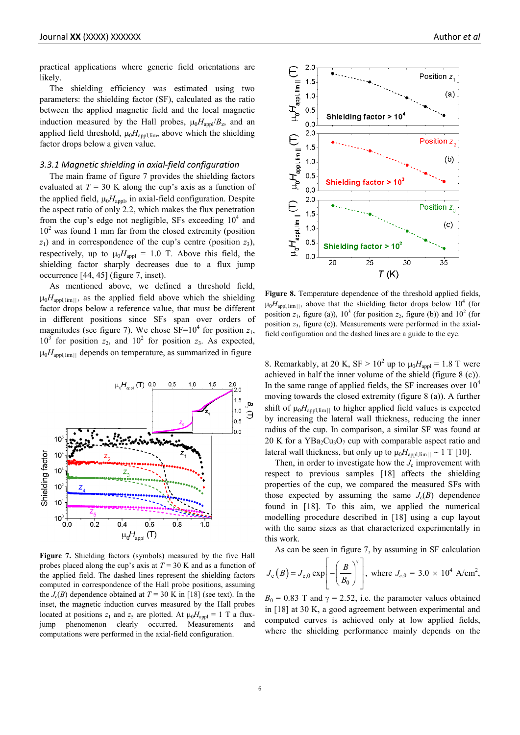practical applications where generic field orientations are likely.

The shielding efficiency was estimated using two parameters: the shielding factor (SF), calculated as the ratio between the applied magnetic field and the local magnetic induction measured by the Hall probes,  $\mu_0 H_{\text{appl}}/B_z$ , and an applied field threshold,  $\mu_0 H_{\text{appl,lim}}$ , above which the shielding factor drops below a given value.

## *3.3.1 Magnetic shielding in axial-field configuration*

The main frame of figure 7 provides the shielding factors evaluated at  $T = 30$  K along the cup's axis as a function of the applied field,  $\mu_0 H_{\text{appl}}$ , in axial-field configuration. Despite the aspect ratio of only 2.2, which makes the flux penetration from the cup's edge not negligible, SFs exceeding  $10<sup>4</sup>$  and  $10<sup>2</sup>$  was found 1 mm far from the closed extremity (position  $z_1$ ) and in correspondence of the cup's centre (position  $z_3$ ), respectively, up to  $\mu_0 H_{\text{appl}} = 1.0$  T. Above this field, the shielding factor sharply decreases due to a flux jump occurrence [44, 45] (figure 7, inset).

As mentioned above, we defined a threshold field,  $\mu_0 H_{\text{appl,lim}||}$ , as the applied field above which the shielding factor drops below a reference value, that must be different in different positions since SFs span over orders of magnitudes (see figure 7). We chose  $SF=10^4$  for position  $z_1$ ,  $10^3$  for position  $z_2$ , and  $10^2$  for position  $z_3$ . As expected,  $\mu_0 H_{\text{avoll}}$  depends on temperature, as summarized in figure



**Figure 7.** Shielding factors (symbols) measured by the five Hall probes placed along the cup's axis at  $T = 30$  K and as a function of the applied field. The dashed lines represent the shielding factors computed in correspondence of the Hall probe positions, assuming the  $J_c(B)$  dependence obtained at  $T = 30$  K in [18] (see text). In the inset, the magnetic induction curves measured by the Hall probes located at positions  $z_1$  and  $z_5$  are plotted. At  $\mu_0 H_{\text{anol}} = 1$  T a fluxjump phenomenon clearly occurred. Measurements and computations were performed in the axial-field configuration.



Figure 8. Temperature dependence of the threshold applied fields,  $\mu_0 H_{\text{avollim}}$ , above that the shielding factor drops below 10<sup>4</sup> (for position  $z_1$ , figure (a)),  $10^3$  (for position  $z_2$ , figure (b)) and  $10^2$  (for position  $z_3$ , figure (c)). Measurements were performed in the axialfield configuration and the dashed lines are a guide to the eye.

8. Remarkably, at 20 K,  $SF > 10^2$  up to  $\mu_0 H_{\text{appl}} = 1.8$  T were achieved in half the inner volume of the shield (figure 8 (c)). In the same range of applied fields, the SF increases over  $10<sup>4</sup>$ moving towards the closed extremity (figure 8 (a)). A further shift of  $\mu_0 H_{\text{appl,lim}||}$  to higher applied field values is expected by increasing the lateral wall thickness, reducing the inner radius of the cup. In comparison, a similar SF was found at 20 K for a  $YBa<sub>2</sub>Cu<sub>3</sub>O<sub>7</sub>$  cup with comparable aspect ratio and lateral wall thickness, but only up to  $μ<sub>0</sub>H<sub>appl,lim||</sub> ~ 1 T [10]$ .

Then, in order to investigate how the  $J_c$  improvement with respect to previous samples [18] affects the shielding properties of the cup, we compared the measured SFs with those expected by assuming the same  $J_c(B)$  dependence found in [18]. To this aim, we applied the numerical modelling procedure described in [18] using a cup layout with the same sizes as that characterized experimentally in this work.

As can be seen in figure 7, by assuming in SF calculation

$$
J_c(B) = J_{c,0} \exp \left[ -\left(\frac{B}{B_0}\right)^{\gamma} \right]
$$
, where  $J_{c,0} = 3.0 \times 10^4$  A/cm<sup>2</sup>,

 $B_0 = 0.83$  T and  $\gamma = 2.52$ , i.e. the parameter values obtained in [18] at 30 K, a good agreement between experimental and computed curves is achieved only at low applied fields, where the shielding performance mainly depends on the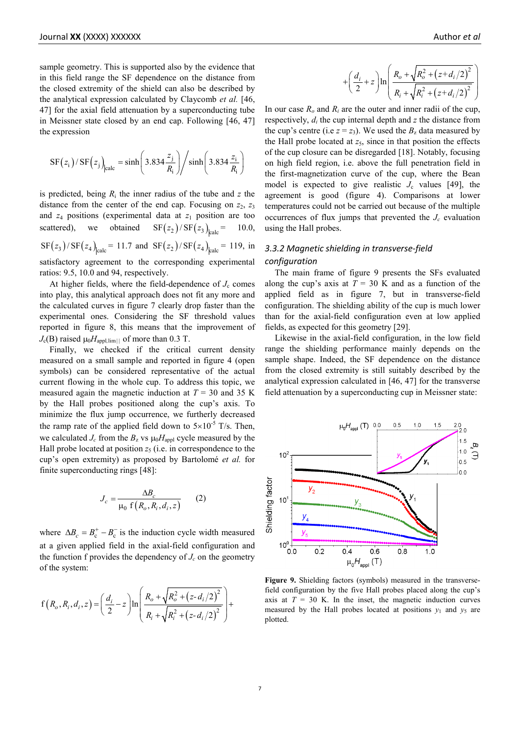sample geometry. This is supported also by the evidence that in this field range the SF dependence on the distance from the closed extremity of the shield can also be described by the analytical expression calculated by Claycomb *et al.* [46, 47] for the axial field attenuation by a superconducting tube in Meissner state closed by an end cap. Following [46, 47] the expression

$$
SF(zi)/SF(zj)|calc = sinh \left(3.834 \frac{z_j}{R_i}\right) / sinh \left(3.834 \frac{z_i}{R_i}\right)
$$

is predicted, being  $R_i$  the inner radius of the tube and  $z$  the distance from the center of the end cap. Focusing on  $z_2$ ,  $z_3$ and  $z_4$  positions (experimental data at  $z_1$  position are too scattered), we obtained  $SF(z_2)/SF(z_3)_{\text{lealc}} = 10.0$ ,  $\text{SF}(z_3) / \text{SF}(z_4)_{\text{lealc}} = 11.7 \text{ and } \text{SF}(z_2) / \text{SF}(z_4)_{\text{lealc}} = 119, \text{ in }$ satisfactory agreement to the corresponding experimental ratios: 9.5, 10.0 and 94, respectively.

At higher fields, where the field-dependence of  $J<sub>c</sub>$  comes into play, this analytical approach does not fit any more and the calculated curves in figure 7 clearly drop faster than the experimental ones. Considering the SF threshold values reported in figure 8, this means that the improvement of  $J_c(B)$  raised  $\mu_0 H_{\text{appl,lim}||}$  of more than 0.3 T.

Finally, we checked if the critical current density measured on a small sample and reported in figure 4 (open symbols) can be considered representative of the actual current flowing in the whole cup. To address this topic, we measured again the magnetic induction at  $T = 30$  and 35 K by the Hall probes positioned along the cup's axis. To minimize the flux jump occurrence, we furtherly decreased the ramp rate of the applied field down to  $5\times10^{-5}$  T/s. Then, we calculated  $J_c$  from the  $B_z$  vs  $\mu_0 H_{\text{appl}}$  cycle measured by the Hall probe located at position  $z_5$  (i.e. in correspondence to the cup's open extremity) as proposed by Bartolomé *et al.* for finite superconducting rings [48]:

$$
J_c = \frac{\Delta B_c}{\mu_0 \text{ f}\left(R_o, R_i, d_i, z\right)} \tag{2}
$$

where  $\Delta B_c = B_c^+ - B_c^-$  is the induction cycle width measured at a given applied field in the axial-field configuration and the function f provides the dependency of  $J_c$  on the geometry of the system:

$$
f(R_o, R_i, d_i, z) = \left(\frac{d_i}{2} - z\right) \ln \left(\frac{R_o + \sqrt{R_o^2 + (z - d_i/2)^2}}{R_i + \sqrt{R_i^2 + (z - d_i/2)^2}}\right) +
$$

$$
+\left(\frac{d_i}{2} + z\right) \ln \left(\frac{R_o + \sqrt{R_o^2 + (z + d_i/2)^2}}{R_i + \sqrt{R_i^2 + (z + d_i/2)^2}}\right)
$$

In our case  $R_o$  and  $R_i$  are the outer and inner radii of the cup, respectively, *di* the cup internal depth and *z* the distance from the cup's centre (i.e  $z = z_3$ ). We used the  $B_z$  data measured by the Hall probe located at  $z_5$ , since in that position the effects of the cup closure can be disregarded [18]. Notably, focusing on high field region, i.e. above the full penetration field in the first-magnetization curve of the cup, where the Bean model is expected to give realistic  $J_c$  values [49], the agreement is good (figure 4). Comparisons at lower temperatures could not be carried out because of the multiple occurrences of flux jumps that prevented the  $J_c$  evaluation using the Hall probes.

## *3.3.2 Magnetic shielding in transverse-field configuration*

The main frame of figure 9 presents the SFs evaluated along the cup's axis at  $T = 30$  K and as a function of the applied field as in figure 7, but in transverse-field configuration. The shielding ability of the cup is much lower than for the axial-field configuration even at low applied fields, as expected for this geometry [29].

Likewise in the axial-field configuration, in the low field range the shielding performance mainly depends on the sample shape. Indeed, the SF dependence on the distance from the closed extremity is still suitably described by the analytical expression calculated in [46, 47] for the transverse field attenuation by a superconducting cup in Meissner state:



**Figure 9.** Shielding factors (symbols) measured in the transversefield configuration by the five Hall probes placed along the cup's axis at  $T = 30$  K. In the inset, the magnetic induction curves measured by the Hall probes located at positions  $y_1$  and  $y_5$  are plotted.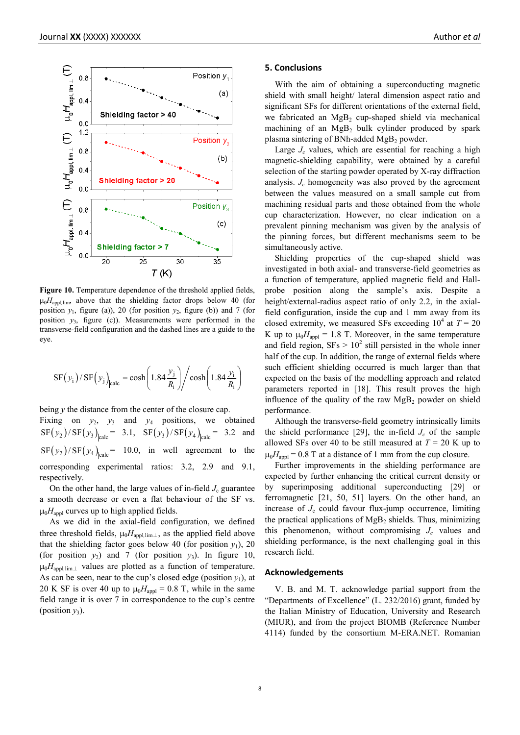

Figure 10. Temperature dependence of the threshold applied fields,  $\mu_0 H_{\text{appl,lim}}$ , above that the shielding factor drops below 40 (for position  $y_1$ , figure (a)), 20 (for position  $y_2$ , figure (b)) and 7 (for position  $y_3$ , figure (c)). Measurements were performed in the transverse-field configuration and the dashed lines are a guide to the eye.

$$
SF(y_i)/SF(y_j)_{\text{calc}} = \cosh\left(1.84 \frac{y_j}{R_i}\right) / \cosh\left(1.84 \frac{y_i}{R_i}\right)
$$

being *y* the distance from the center of the closure cap.

Fixing on  $y_2$ ,  $y_3$  and  $y_4$  positions, we obtained  $\text{SF}(y_2) / \text{SF}(y_3)_{\text{calc}} = 3.1, \text{SF}(y_3) / \text{SF}(y_4)_{\text{calc}} = 3.2 \text{ and}$  $\text{SF}(y_2)/\text{SF}(y_4)_{\text{calc}} = 10.0$ , in well agreement to the corresponding experimental ratios: 3.2, 2.9 and 9.1, respectively.

On the other hand, the large values of in-field  $J_c$  guarantee a smooth decrease or even a flat behaviour of the SF vs.  $\mu_0 H_{\text{anol}}$  curves up to high applied fields.

As we did in the axial-field configuration, we defined three threshold fields,  $\mu_0 H_{\text{appl,lim}\perp}$ , as the applied field above that the shielding factor goes below 40 (for position  $y_1$ ), 20 (for position  $y_2$ ) and 7 (for position  $y_3$ ). In figure 10, µ0*H*appl*,*lim<sup>⊥</sup> values are plotted as a function of temperature. As can be seen, near to the cup's closed edge (position  $y_1$ ), at 20 K SF is over 40 up to  $\mu_0 H_{\text{appl}} = 0.8$  T, while in the same field range it is over 7 in correspondence to the cup's centre (position  $y_3$ ).

#### **5. Conclusions**

With the aim of obtaining a superconducting magnetic shield with small height/ lateral dimension aspect ratio and significant SFs for different orientations of the external field, we fabricated an  $MgB_2$  cup-shaped shield via mechanical machining of an MgB<sub>2</sub> bulk cylinder produced by spark plasma sintering of BNh-added  $MgB<sub>2</sub>$  powder.

Large *J<sub>c</sub>* values, which are essential for reaching a high magnetic-shielding capability, were obtained by a careful selection of the starting powder operated by X-ray diffraction analysis. *Jc* homogeneity was also proved by the agreement between the values measured on a small sample cut from machining residual parts and those obtained from the whole cup characterization. However, no clear indication on a prevalent pinning mechanism was given by the analysis of the pinning forces, but different mechanisms seem to be simultaneously active.

Shielding properties of the cup-shaped shield was investigated in both axial- and transverse-field geometries as a function of temperature, applied magnetic field and Hallprobe position along the sample's axis. Despite a height/external-radius aspect ratio of only 2.2, in the axialfield configuration, inside the cup and 1 mm away from its closed extremity, we measured SFs exceeding  $10^4$  at  $T = 20$ K up to  $\mu_0 H_{\text{appl}} = 1.8$  T. Moreover, in the same temperature and field region,  $SFs > 10^2$  still persisted in the whole inner half of the cup. In addition, the range of external fields where such efficient shielding occurred is much larger than that expected on the basis of the modelling approach and related parameters reported in [18]. This result proves the high influence of the quality of the raw  $MgB<sub>2</sub>$  powder on shield performance.

Although the transverse-field geometry intrinsically limits the shield performance [29], the in-field  $J_c$  of the sample allowed SFs over 40 to be still measured at  $T = 20$  K up to  $\mu_0 H_{\text{anol}} = 0.8$  T at a distance of 1 mm from the cup closure.

Further improvements in the shielding performance are expected by further enhancing the critical current density or by superimposing additional superconducting [29] or ferromagnetic [21, 50, 51] layers. On the other hand, an increase of  $J_c$  could favour flux-jump occurrence, limiting the practical applications of MgB<sub>2</sub> shields. Thus, minimizing this phenomenon, without compromising  $J_c$  values and shielding performance, is the next challenging goal in this research field.

### **Acknowledgements**

V. B. and M. T. acknowledge partial support from the "Departments of Excellence" (L. 232/2016) grant, funded by the Italian Ministry of Education, University and Research (MIUR), and from the project BIOMB (Reference Number 4114) funded by the consortium M-ERA.NET. Romanian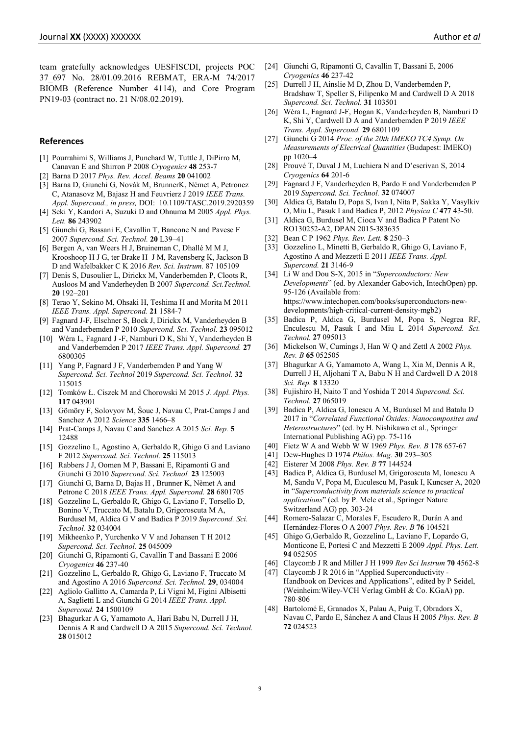team gratefully acknowledges UESFISCDI, projects POC 37\_697 No. 28/01.09.2016 REBMAT, ERA-M 74/2017 BIOMB (Reference Number 4114), and Core Program PN19-03 (contract no. 21 N/08.02.2019).

#### **References**

- [1] Pourrahimi S, Williams J, Punchard W, Tuttle J, DiPirro M, Canavan E and Shirron P 2008 *Cryogenics* **48** 253-7
- [2] Barna D 2017 *Phys. Rev. Accel. Beams* **20** 041002
- [3] Barna D, Giunchi G, Novák M, BrunnerK, Német A, Petronez C, Atanasovz M, Bajasz H and Feuvrierz J 2019 *IEEE Trans. Appl. Supercond., in press,* DOI: 10.1109/TASC.2019.2920359
- [4] Seki Y, Kandori A, Suzuki D and Ohnuma M 2005 *Appl. Phys. Lett.* **86** 243902
- [5] Giunchi G, Bassani E, Cavallin T, Bancone N and Pavese F 2007 *Supercond. Sci. Technol.* **20** L39–41
- [6] Bergen A, van Weers H J, Bruineman C, Dhallé M M J, Krooshoop H J G, ter Brake H J M, Ravensberg K, Jackson B D and Wafelbakker C K 2016 *Rev. Sci. Instrum.* 87 105109
- [7] Denis S, Dusoulier L, Dirickx M, Vanderbemden P, Cloots R, Ausloos M and Vanderheyden B 2007 *Supercond. Sci.Technol.* **20** 192–201
- [8] Terao Y, Sekino M, Ohsaki H, Teshima H and Morita M 2011 *IEEE Trans. Appl. Supercond.* **21** 1584-7
- [9] Fagnard J-F, Elschner S, Bock J, Dirickx M, Vanderheyden B and Vanderbemden P 2010 *Supercond. Sci. Technol.* **23** 095012
- [10] Wéra L, Fagnard J -F, Namburi D K, Shi Y, Vanderheyden B and Vanderbemden P 2017 *IEEE Trans. Appl. Supercond.* **27** 6800305
- [11] Yang P, Fagnard J F, Vanderbemden P and Yang W *Supercond. Sci. Technol* 2019 *Supercond. Sci. Technol.* **32** 115015
- [12] Tomków Ł. Ciszek M and Chorowski M 2015 *J. Appl. Phys.* **117** 043901
- [13] Gömöry F, Solovyov M, Šouc J, Navau C, Prat-Camps J and Sanchez A 2012 *Science* **335** 1466–8
- [14] Prat-Camps J, Navau C and Sanchez A 2015 *Sci. Rep.* **5** 12488
- [15] Gozzelino L, Agostino A, Gerbaldo R, Ghigo G and Laviano F 2012 *Supercond. Sci. Technol.* **25** 115013
- [16] Rabbers J J, Oomen M P, Bassani E, Ripamonti G and Giunchi G 2010 *Supercond. Sci. Technol.* **23** 125003
- [17] Giunchi G, Barna D, Bajas H , Brunner K, Nèmet A and Petrone C 2018 *IEEE Trans. Appl. Supercond.* **28** 6801705
- [18] Gozzelino L, Gerbaldo R, Ghigo G, Laviano F, Torsello D, Bonino V, Truccato M, Batalu D, Grigoroscuta M A, Burdusel M, Aldica G V and Badica P 2019 *Supercond. Sci. Technol.* **32** 034004
- [19] Mikheenko P, Yurchenko V V and Johansen T H 2012 *Supercond. Sci. Technol.* **25** 045009
- [20] Giunchi G, Ripamonti G, Cavallin T and Bassani E 2006 *Cryogenics* **46** 237-40
- [21] Gozzelino L, Gerbaldo R, Ghigo G, Laviano F, Truccato M and Agostino A 2016 *Supercond. Sci. Technol.* **29**, 034004
- [22] Agliolo Gallitto A, Camarda P, Li Vigni M, Figini Albisetti A, Saglietti L and Giunchi G 2014 *IEEE Trans. Appl. Supercond.* **24** 1500109
- [23] Bhagurkar A G, Yamamoto A, Hari Babu N, Durrell J H, Dennis A R and Cardwell D A 2015 *Supercond. Sci. Technol.* **28** 015012
- [24] Giunchi G, Ripamonti G, Cavallin T, Bassani E, 2006 *Cryogenics* **46** 237-42
- [25] Durrell J H, Ainslie M D, Zhou D, Vanderbemden P, Bradshaw T, Speller S, Filipenko M and Cardwell D A 2018 *Supercond. Sci. Technol.* **31** 103501
- [26] Wéra L, Fagnard J-F, Hogan K, Vanderheyden B, Namburi D K, Shi Y, Cardwell D A and Vanderbemden P 2019 *IEEE Trans. Appl. Supercond.* **29** 6801109
- [27] Giunchi G 2014 *Proc. of the 20th IMEKO TC4 Symp. On Measurements of Electrical Quantities* (Budapest: IMEKO) pp 1020–4
- [28] Prouvé T, Duval J M, Luchiera N and D'escrivan S, 2014 *Cryogenics* **64** 201-6
- [29] Fagnard J F, Vanderheyden B, Pardo E and Vanderbemden P 2019 *Supercond. Sci. Technol.* **32** 074007
- [30] Aldica G, Batalu D, Popa S, Ivan I, Nita P, Sakka Y, Vasylkiv O, Miu L, Pasuk I and Badica P, 2012 *Physica C* **477** 43-50.
- [31] Aldica G, Burdusel M, Cioca V and Badica P Patent No RO130252-A2, DPAN 2015-383635
- [32] Bean C P 1962 *Phys. Rev. Lett.* **8** 250–3
- [33] Gozzelino L, Minetti B, Gerbaldo R, Ghigo G, Laviano F, Agostino A and Mezzetti E 2011 *IEEE Trans. Appl. Supercond.* **21** 3146-9
- [34] Li W and Dou S-X, 2015 in "*Superconductors: New Developments*" (ed. by Alexander Gabovich, IntechOpen) pp. 95-126 (Available from: https://www.intechopen.com/books/superconductors-newdevelopments/high-critical-current-density-mgb2)
- [35] Badica P, Aldica G, Burdusel M, Popa S, Negrea RF, Enculescu M, Pasuk I and Miu L 2014 *Supercond. Sci. Technol.* **27** 095013
- [36] Mickelson W, Cumings J, Han W Q and Zettl A 2002 *Phys. Rev. B* **65** 052505
- [37] Bhagurkar A G, Yamamoto A, Wang L, Xia M, Dennis A R, Durrell J H, Aljohani T A, Babu N H and Cardwell D A 2018 *Sci. Rep.* **8** 13320
- [38] Fujishiro H, Naito T and Yoshida T 2014 *Supercond. Sci. Technol.* **27** 065019
- [39] Badica P, Aldica G, Ionescu A M, Burdusel M and Batalu D 2017 in "*Correlated Functional Oxides: Nanocomposites and Heterostructures*" (ed. by H. Nishikawa et al., Springer International Publishing AG) pp. 75-116
- [40] Fietz W A and Webb W W 1969 *Phys. Rev. B* 178 657-67
- [41] Dew-Hughes D 1974 *Philos. Mag.* **30** 293–305
- [42] Eisterer M 2008 *Phys. Rev. B* **77** 144524
- [43] Badica P, Aldica G, Burdusel M, Grigoroscuta M, Ionescu A M, Sandu V, Popa M, Euculescu M, Pasuk I, Kuncser A, 2020 in "*Superconductivity from materials science to practical applications*" (ed. by P. Mele et al., Springer Nature Switzerland AG) pp. 303-24
- [44] Romero-Salazar C, Morales F, Escudero R, Durán A and Hernández-Flores O A 2007 *Phys. Rev. B* **76** 104521
- [45] Ghigo G,Gerbaldo R, Gozzelino L, Laviano F, Lopardo G, Monticone E, Portesi C and Mezzetti E 2009 *Appl. Phys. Lett.* **94** 052505
- [46] Claycomb J R and Miller J H 1999 *Rev Sci Instrum* **70** 4562-8
- [47] Claycomb J R 2016 in "Applied Superconductivity -Handbook on Devices and Applications", edited by P Seidel, (Weinheim:Wiley-VCH Verlag GmbH & Co. KGaA) pp. 780-806
- [48] Bartolomé E, Granados X, Palau A, Puig T, Obradors X, Navau C, Pardo E, Sánchez A and Claus H 2005 *Phys. Rev. B* **72** 024523